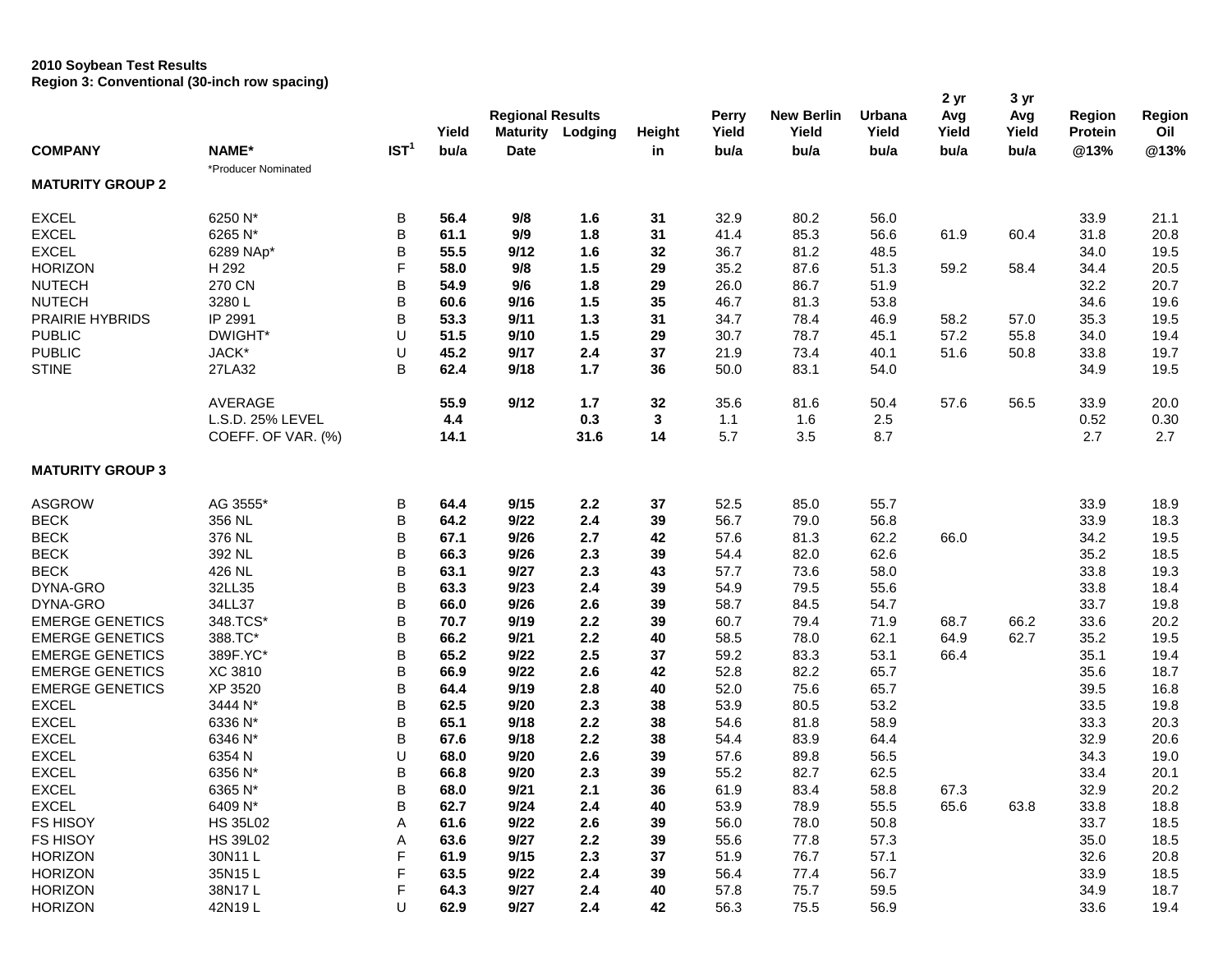## **2010 Soybean Test Results Region 3: Conventional (30-inch row spacing)**

|                         |                     |                  |       |                         |         |               |              |                   |        | 2 yr  | 3 yr  |               |        |
|-------------------------|---------------------|------------------|-------|-------------------------|---------|---------------|--------------|-------------------|--------|-------|-------|---------------|--------|
|                         |                     |                  |       | <b>Regional Results</b> |         |               | <b>Perry</b> | <b>New Berlin</b> | Urbana | Avg   | Avg   | <b>Region</b> | Region |
|                         |                     |                  | Yield | <b>Maturity</b>         | Lodging | <b>Height</b> | Yield        | Yield             | Yield  | Yield | Yield | Protein       | Oil    |
| <b>COMPANY</b>          | NAME*               | IST <sup>1</sup> | bu/a  | <b>Date</b>             |         | in            | bu/a         | bu/a              | bu/a   | bu/a  | bu/a  | @13%          | @13%   |
| <b>MATURITY GROUP 2</b> | *Producer Nominated |                  |       |                         |         |               |              |                   |        |       |       |               |        |
| <b>EXCEL</b>            | 6250 N*             | B                | 56.4  | 9/8                     | 1.6     | 31            | 32.9         | 80.2              | 56.0   |       |       | 33.9          | 21.1   |
|                         |                     | B                |       |                         |         |               |              |                   |        |       |       |               |        |
| <b>EXCEL</b>            | 6265 N*             |                  | 61.1  | 9/9                     | 1.8     | 31            | 41.4         | 85.3              | 56.6   | 61.9  | 60.4  | 31.8          | 20.8   |
| <b>EXCEL</b>            | 6289 NAp*           | B                | 55.5  | 9/12                    | 1.6     | 32            | 36.7         | 81.2              | 48.5   |       |       | 34.0          | 19.5   |
| <b>HORIZON</b>          | H 292               | F                | 58.0  | 9/8                     | 1.5     | 29            | 35.2         | 87.6              | 51.3   | 59.2  | 58.4  | 34.4          | 20.5   |
| <b>NUTECH</b>           | 270 CN              | В                | 54.9  | 9/6                     | 1.8     | 29            | 26.0         | 86.7              | 51.9   |       |       | 32.2          | 20.7   |
| <b>NUTECH</b>           | 3280L               | B                | 60.6  | 9/16                    | 1.5     | 35            | 46.7         | 81.3              | 53.8   |       |       | 34.6          | 19.6   |
| PRAIRIE HYBRIDS         | IP 2991             | B                | 53.3  | 9/11                    | 1.3     | 31            | 34.7         | 78.4              | 46.9   | 58.2  | 57.0  | 35.3          | 19.5   |
| <b>PUBLIC</b>           | DWIGHT*             | U                | 51.5  | 9/10                    | 1.5     | 29            | 30.7         | 78.7              | 45.1   | 57.2  | 55.8  | 34.0          | 19.4   |
| <b>PUBLIC</b>           | JACK*               | U                | 45.2  | 9/17                    | 2.4     | 37            | 21.9         | 73.4              | 40.1   | 51.6  | 50.8  | 33.8          | 19.7   |
| <b>STINE</b>            | 27LA32              | B                | 62.4  | 9/18                    | 1.7     | 36            | 50.0         | 83.1              | 54.0   |       |       | 34.9          | 19.5   |
|                         | <b>AVERAGE</b>      |                  | 55.9  | 9/12                    | $1.7$   | 32            | 35.6         | 81.6              | 50.4   | 57.6  | 56.5  | 33.9          | 20.0   |
|                         | L.S.D. 25% LEVEL    |                  | 4.4   |                         | 0.3     | 3             | 1.1          | 1.6               | 2.5    |       |       | 0.52          | 0.30   |
|                         | COEFF. OF VAR. (%)  |                  | 14.1  |                         | 31.6    | 14            | 5.7          | 3.5               | 8.7    |       |       | 2.7           | 2.7    |
| <b>MATURITY GROUP 3</b> |                     |                  |       |                         |         |               |              |                   |        |       |       |               |        |
| <b>ASGROW</b>           | AG 3555*            | В                | 64.4  | 9/15                    | 2.2     | 37            | 52.5         | 85.0              | 55.7   |       |       | 33.9          | 18.9   |
| <b>BECK</b>             | 356 NL              | B                | 64.2  | 9/22                    | 2.4     | 39            | 56.7         | 79.0              | 56.8   |       |       | 33.9          | 18.3   |
| <b>BECK</b>             | 376 NL              | B                | 67.1  | 9/26                    | 2.7     | 42            | 57.6         | 81.3              | 62.2   | 66.0  |       | 34.2          | 19.5   |
| <b>BECK</b>             | 392 NL              | B                | 66.3  | 9/26                    | 2.3     | 39            | 54.4         | 82.0              | 62.6   |       |       | 35.2          | 18.5   |
| <b>BECK</b>             | 426 NL              | B                | 63.1  | 9/27                    | 2.3     | 43            | 57.7         | 73.6              | 58.0   |       |       | 33.8          | 19.3   |
| DYNA-GRO                | 32LL35              | B                | 63.3  | 9/23                    | 2.4     | 39            | 54.9         | 79.5              | 55.6   |       |       | 33.8          | 18.4   |
| DYNA-GRO                | 34LL37              | B                | 66.0  | 9/26                    | 2.6     | 39            | 58.7         | 84.5              | 54.7   |       |       | 33.7          | 19.8   |
| <b>EMERGE GENETICS</b>  | 348.TCS*            | B                | 70.7  | 9/19                    | 2.2     | 39            | 60.7         | 79.4              | 71.9   | 68.7  | 66.2  | 33.6          | 20.2   |
| <b>EMERGE GENETICS</b>  | 388.TC*             | B                | 66.2  | 9/21                    | 2.2     | 40            | 58.5         | 78.0              | 62.1   | 64.9  | 62.7  | 35.2          | 19.5   |
| <b>EMERGE GENETICS</b>  | 389F.YC*            | B                | 65.2  | 9/22                    | 2.5     | 37            | 59.2         | 83.3              | 53.1   | 66.4  |       | 35.1          | 19.4   |
| <b>EMERGE GENETICS</b>  | <b>XC 3810</b>      | B                | 66.9  | 9/22                    | 2.6     | 42            | 52.8         | 82.2              | 65.7   |       |       | 35.6          | 18.7   |
| <b>EMERGE GENETICS</b>  | XP 3520             | B                | 64.4  | 9/19                    | 2.8     | 40            | 52.0         | 75.6              | 65.7   |       |       | 39.5          | 16.8   |
| <b>EXCEL</b>            | 3444 N*             | B                | 62.5  | 9/20                    | 2.3     | 38            | 53.9         | 80.5              | 53.2   |       |       | 33.5          | 19.8   |
| <b>EXCEL</b>            | 6336 N*             | B                | 65.1  | 9/18                    | 2.2     | 38            | 54.6         | 81.8              | 58.9   |       |       | 33.3          | 20.3   |
| <b>EXCEL</b>            | 6346 N*             | B                | 67.6  | 9/18                    | 2.2     | 38            | 54.4         | 83.9              | 64.4   |       |       | 32.9          | 20.6   |
| <b>EXCEL</b>            | 6354N               | U                | 68.0  | 9/20                    | 2.6     | 39            | 57.6         | 89.8              | 56.5   |       |       | 34.3          | 19.0   |
| <b>EXCEL</b>            | 6356 N*             | B                | 66.8  | 9/20                    | 2.3     | 39            | 55.2         | 82.7              | 62.5   |       |       | 33.4          | 20.1   |
| <b>EXCEL</b>            |                     |                  |       |                         |         |               |              |                   |        |       |       |               |        |
| <b>EXCEL</b>            | 6365 N*<br>6409 N*  | $\sf B$<br>B     | 68.0  | 9/21                    | 2.1     | 36            | 61.9         | 83.4              | 58.8   | 67.3  |       | 32.9          | 20.2   |
|                         |                     |                  | 62.7  | 9/24                    | 2.4     | 40            | 53.9         | 78.9              | 55.5   | 65.6  | 63.8  | 33.8          | 18.8   |
| FS HISOY                | <b>HS 35L02</b>     | Α                | 61.6  | 9/22                    | 2.6     | 39            | 56.0         | 78.0              | 50.8   |       |       | 33.7          | 18.5   |
| FS HISOY                | <b>HS 39L02</b>     | A                | 63.6  | 9/27                    | $2.2\,$ | 39            | 55.6         | 77.8              | 57.3   |       |       | 35.0          | 18.5   |
| <b>HORIZON</b>          | 30N11L              | F                | 61.9  | 9/15                    | 2.3     | 37            | 51.9         | 76.7              | 57.1   |       |       | 32.6          | 20.8   |
| <b>HORIZON</b>          | 35N15L              | F                | 63.5  | 9/22                    | 2.4     | 39            | 56.4         | 77.4              | 56.7   |       |       | 33.9          | 18.5   |
| <b>HORIZON</b>          | 38N17L              | F                | 64.3  | 9/27                    | $2.4\,$ | 40            | 57.8         | 75.7              | 59.5   |       |       | 34.9          | 18.7   |
| <b>HORIZON</b>          | 42N19L              | U                | 62.9  | 9/27                    | 2.4     | 42            | 56.3         | 75.5              | 56.9   |       |       | 33.6          | 19.4   |